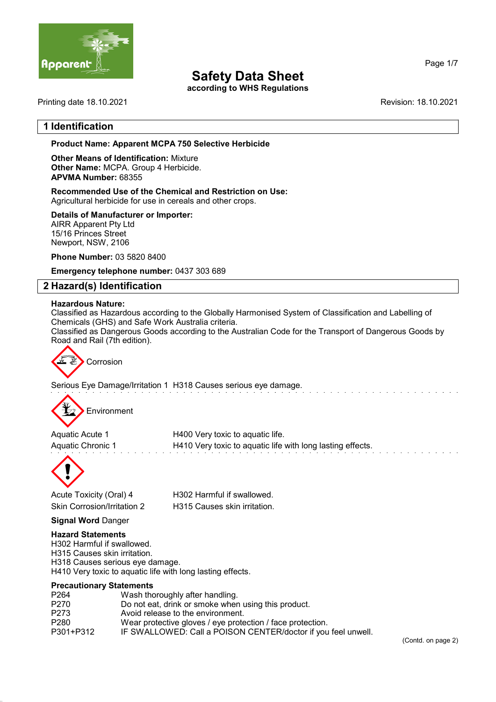

according to WHS Regulations

Printing date 18.10.2021 Revision: 18.10.2021

Page 1/7

### 1 Identification

Product Name: Apparent MCPA 750 Selective Herbicide

Other Means of Identification: Mixture Other Name: MCPA. Group 4 Herbicide. APVMA Number: 68355

Recommended Use of the Chemical and Restriction on Use: Agricultural herbicide for use in cereals and other crops.

Details of Manufacturer or Importer:

AIRR Apparent Pty Ltd 15/16 Princes Street Newport, NSW, 2106

Phone Number: 03 5820 8400

Emergency telephone number: 0437 303 689

### 2 Hazard(s) Identification

#### Hazardous Nature:

Classified as Hazardous according to the Globally Harmonised System of Classification and Labelling of Chemicals (GHS) and Safe Work Australia criteria.

Classified as Dangerous Goods according to the Australian Code for the Transport of Dangerous Goods by Road and Rail (7th edition).



Serious Eye Damage/Irritation 1 H318 Causes serious eye damage.



Aquatic Acute 1 **H400** Very toxic to aquatic life. Aquatic Chronic 1 **H410** Very toxic to aquatic life with long lasting effects.



Acute Toxicity (Oral) 4 H302 Harmful if swallowed. Skin Corrosion/Irritation 2 H315 Causes skin irritation.

Signal Word Danger

#### Hazard Statements

H302 Harmful if swallowed. H315 Causes skin irritation. H318 Causes serious eye damage. H410 Very toxic to aquatic life with long lasting effects.

#### Precautionary Statements

| Wash thoroughly after handling.                               |
|---------------------------------------------------------------|
| Do not eat, drink or smoke when using this product.           |
| Avoid release to the environment.                             |
| Wear protective gloves / eye protection / face protection.    |
| IF SWALLOWED: Call a POISON CENTER/doctor if you feel unwell. |
|                                                               |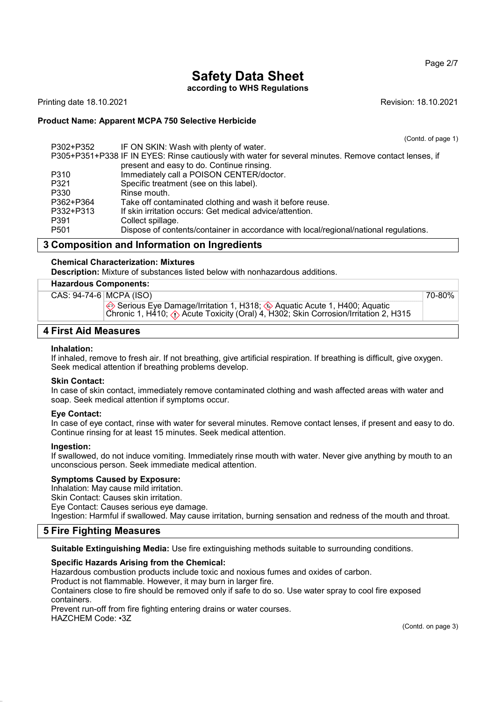#### Page 2/7

# Safety Data Sheet

according to WHS Regulations

Printing date 18.10.2021 Revision: 18.10.2021

#### Product Name: Apparent MCPA 750 Selective Herbicide

(Contd. of page 1)

| P302+P352        | IF ON SKIN: Wash with plenty of water.                                                                |
|------------------|-------------------------------------------------------------------------------------------------------|
|                  | P305+P351+P338 IF IN EYES: Rinse cautiously with water for several minutes. Remove contact lenses, if |
|                  | present and easy to do. Continue rinsing.                                                             |
| P310             | Immediately call a POISON CENTER/doctor.                                                              |
| P321             | Specific treatment (see on this label).                                                               |
| P330             | Rinse mouth.                                                                                          |
| P362+P364        | Take off contaminated clothing and wash it before reuse.                                              |
| P332+P313        | If skin irritation occurs: Get medical advice/attention.                                              |
| P391             | Collect spillage.                                                                                     |
| P <sub>501</sub> | Dispose of contents/container in accordance with local/regional/national regulations.                 |

### 3 Composition and Information on Ingredients

Chemical Characterization: Mixtures

Description: Mixture of substances listed below with nonhazardous additions.

#### Hazardous Components:

| CAS: 94-74-6 MCPA (ISO) |                                                                                                                                                                                      | 70-80% |
|-------------------------|--------------------------------------------------------------------------------------------------------------------------------------------------------------------------------------|--------|
|                         | Serious Eye Damage/Irritation 1, H318; 4 Aquatic Acute 1, H400; Aquatic<br>Chronic 1, H410; $\langle \cdot \rangle$ Acute Toxicity (Oral) 4, H302; Skin Corrosion/Irritation 2, H315 |        |

#### 4 First Aid Measures

#### Inhalation:

If inhaled, remove to fresh air. If not breathing, give artificial respiration. If breathing is difficult, give oxygen. Seek medical attention if breathing problems develop.

#### Skin Contact:

In case of skin contact, immediately remove contaminated clothing and wash affected areas with water and soap. Seek medical attention if symptoms occur.

#### Eye Contact:

In case of eye contact, rinse with water for several minutes. Remove contact lenses, if present and easy to do. Continue rinsing for at least 15 minutes. Seek medical attention.

#### Ingestion:

If swallowed, do not induce vomiting. Immediately rinse mouth with water. Never give anything by mouth to an unconscious person. Seek immediate medical attention.

#### Symptoms Caused by Exposure:

Inhalation: May cause mild irritation. Skin Contact: Causes skin irritation. Eye Contact: Causes serious eye damage. Ingestion: Harmful if swallowed. May cause irritation, burning sensation and redness of the mouth and throat.

#### 5 Fire Fighting Measures

Suitable Extinguishing Media: Use fire extinguishing methods suitable to surrounding conditions.

#### Specific Hazards Arising from the Chemical:

Hazardous combustion products include toxic and noxious fumes and oxides of carbon.

Product is not flammable. However, it may burn in larger fire.

Containers close to fire should be removed only if safe to do so. Use water spray to cool fire exposed containers.

Prevent run-off from fire fighting entering drains or water courses.

HAZCHEM Code: •3Z

(Contd. on page 3)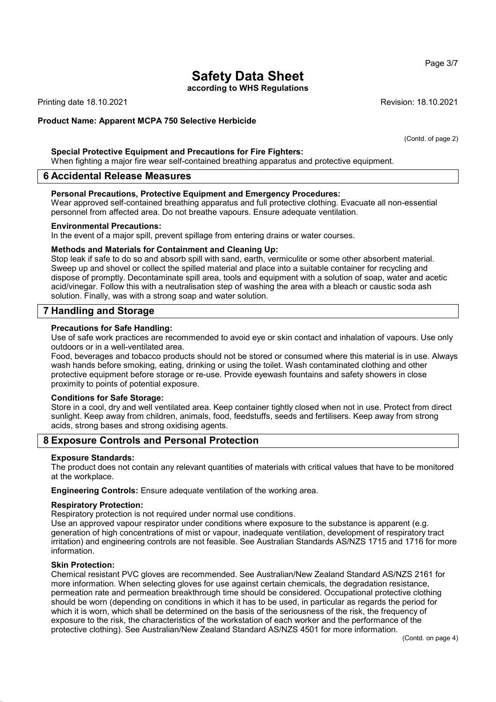according to WHS Regulations

Printing date 18.10.2021 Revision: 18.10.2021

#### Product Name: Apparent MCPA 750 Selective Herbicide

#### Special Protective Equipment and Precautions for Fire Fighters:

When fighting a major fire wear self-contained breathing apparatus and protective equipment.

#### 6 Accidental Release Measures

#### Personal Precautions, Protective Equipment and Emergency Procedures:

Wear approved self-contained breathing apparatus and full protective clothing. Evacuate all non-essential personnel from affected area. Do not breathe vapours. Ensure adequate ventilation.

#### Environmental Precautions:

In the event of a major spill, prevent spillage from entering drains or water courses.

#### Methods and Materials for Containment and Cleaning Up:

Stop leak if safe to do so and absorb spill with sand, earth, vermiculite or some other absorbent material. Sweep up and shovel or collect the spilled material and place into a suitable container for recycling and dispose of promptly. Decontaminate spill area, tools and equipment with a solution of soap, water and acetic acid/vinegar. Follow this with a neutralisation step of washing the area with a bleach or caustic soda ash solution. Finally, was with a strong soap and water solution.

#### 7 Handling and Storage

#### Precautions for Safe Handling:

Use of safe work practices are recommended to avoid eye or skin contact and inhalation of vapours. Use only outdoors or in a well-ventilated area.

Food, beverages and tobacco products should not be stored or consumed where this material is in use. Always wash hands before smoking, eating, drinking or using the toilet. Wash contaminated clothing and other protective equipment before storage or re-use. Provide eyewash fountains and safety showers in close proximity to points of potential exposure.

#### Conditions for Safe Storage:

Store in a cool, dry and well ventilated area. Keep container tightly closed when not in use. Protect from direct sunlight. Keep away from children, animals, food, feedstuffs, seeds and fertilisers. Keep away from strong acids, strong bases and strong oxidising agents.

#### 8 Exposure Controls and Personal Protection

#### Exposure Standards:

The product does not contain any relevant quantities of materials with critical values that have to be monitored at the workplace.

Engineering Controls: Ensure adequate ventilation of the working area.

#### Respiratory Protection:

Respiratory protection is not required under normal use conditions.

Use an approved vapour respirator under conditions where exposure to the substance is apparent (e.g. generation of high concentrations of mist or vapour, inadequate ventilation, development of respiratory tract irritation) and engineering controls are not feasible. See Australian Standards AS/NZS 1715 and 1716 for more information.

#### Skin Protection:

Chemical resistant PVC gloves are recommended. See Australian/New Zealand Standard AS/NZS 2161 for more information. When selecting gloves for use against certain chemicals, the degradation resistance, permeation rate and permeation breakthrough time should be considered. Occupational protective clothing should be worn (depending on conditions in which it has to be used, in particular as regards the period for which it is worn, which shall be determined on the basis of the seriousness of the risk, the frequency of exposure to the risk, the characteristics of the workstation of each worker and the performance of the protective clothing). See Australian/New Zealand Standard AS/NZS 4501 for more information.

#### Page 3/7

(Contd. of page 2)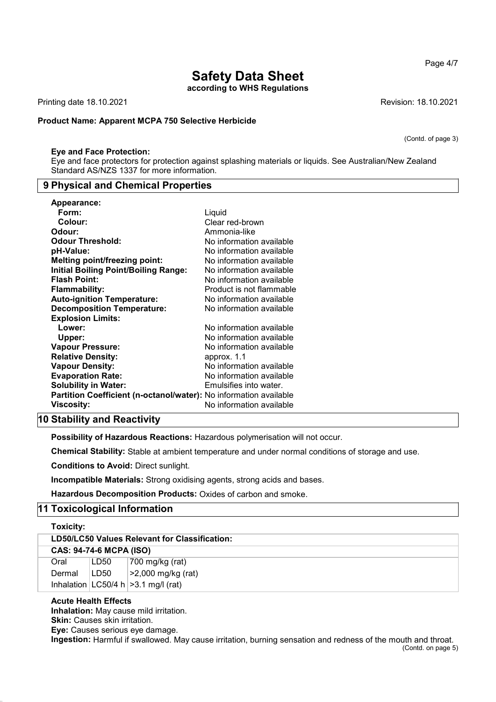according to WHS Regulations

Printing date 18.10.2021 Revision: 18.10.2021

#### Product Name: Apparent MCPA 750 Selective Herbicide

#### Eye and Face Protection:

Eye and face protectors for protection against splashing materials or liquids. See Australian/New Zealand Standard AS/NZS 1337 for more information.

#### 9 Physical and Chemical Properties

| Appearance:                                                              |                          |
|--------------------------------------------------------------------------|--------------------------|
| Form:                                                                    | Liquid                   |
| Colour:                                                                  | Clear red-brown          |
| Odour:                                                                   | Ammonia-like             |
| <b>Odour Threshold:</b>                                                  | No information available |
| pH-Value:                                                                | No information available |
| <b>Melting point/freezing point:</b>                                     | No information available |
| Initial Boiling Point/Boiling Range:                                     | No information available |
| <b>Flash Point:</b>                                                      | No information available |
| <b>Flammability:</b>                                                     | Product is not flammable |
| <b>Auto-ignition Temperature:</b>                                        | No information available |
| <b>Decomposition Temperature:</b>                                        | No information available |
| <b>Explosion Limits:</b>                                                 |                          |
| Lower:                                                                   | No information available |
| Upper:                                                                   | No information available |
| <b>Vapour Pressure:</b>                                                  | No information available |
| <b>Relative Density:</b>                                                 | approx. 1.1              |
| <b>Vapour Density:</b>                                                   | No information available |
| <b>Evaporation Rate:</b>                                                 | No information available |
| <b>Solubility in Water:</b>                                              | Emulsifies into water.   |
| <b>Partition Coefficient (n-octanol/water):</b> No information available |                          |
| Viscosity:                                                               | No information available |

### 10 Stability and Reactivity

Possibility of Hazardous Reactions: Hazardous polymerisation will not occur.

Chemical Stability: Stable at ambient temperature and under normal conditions of storage and use.

Conditions to Avoid: Direct sunlight.

Incompatible Materials: Strong oxidising agents, strong acids and bases.

Hazardous Decomposition Products: Oxides of carbon and smoke.

### 11 Toxicological Information

| Toxicity:                                     |                  |                                          |  |  |
|-----------------------------------------------|------------------|------------------------------------------|--|--|
| LD50/LC50 Values Relevant for Classification: |                  |                                          |  |  |
| <b>CAS: 94-74-6 MCPA (ISO)</b>                |                  |                                          |  |  |
| Oral                                          | LD <sub>50</sub> | 700 mg/kg (rat)                          |  |  |
| Dermal                                        | LD <sub>50</sub> | $ >2,000$ mg/kg (rat)                    |  |  |
|                                               |                  | Inhalation $ LC50/4 h  > 3.1 mg/l$ (rat) |  |  |

#### Acute Health Effects

Inhalation: May cause mild irritation.

Skin: Causes skin irritation.

Eye: Causes serious eye damage.

Ingestion: Harmful if swallowed. May cause irritation, burning sensation and redness of the mouth and throat. (Contd. on page 5)

(Contd. of page 3)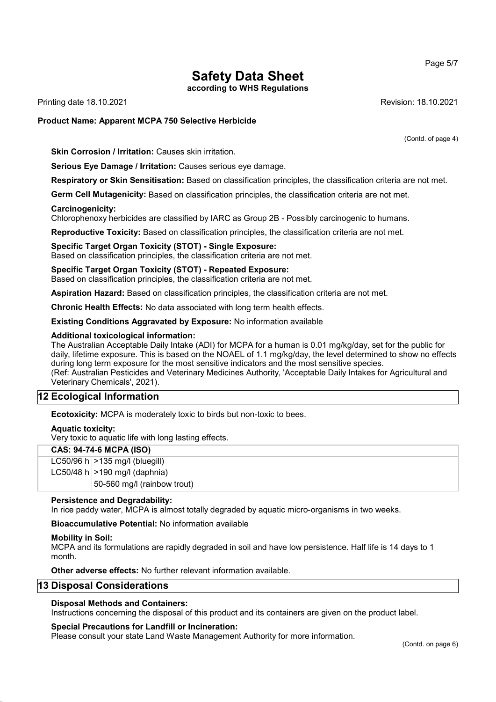Page 5/7

# Safety Data Sheet

according to WHS Regulations

Printing date 18.10.2021 Revision: 18.10.2021

#### Product Name: Apparent MCPA 750 Selective Herbicide

(Contd. of page 4)

Skin Corrosion / Irritation: Causes skin irritation.

Serious Eye Damage / Irritation: Causes serious eye damage.

Respiratory or Skin Sensitisation: Based on classification principles, the classification criteria are not met.

Germ Cell Mutagenicity: Based on classification principles, the classification criteria are not met.

#### Carcinogenicity:

Chlorophenoxy herbicides are classified by IARC as Group 2B - Possibly carcinogenic to humans.

Reproductive Toxicity: Based on classification principles, the classification criteria are not met.

#### Specific Target Organ Toxicity (STOT) - Single Exposure:

Based on classification principles, the classification criteria are not met.

#### Specific Target Organ Toxicity (STOT) - Repeated Exposure:

Based on classification principles, the classification criteria are not met.

Aspiration Hazard: Based on classification principles, the classification criteria are not met.

Chronic Health Effects: No data associated with long term health effects.

Existing Conditions Aggravated by Exposure: No information available

#### Additional toxicological information:

The Australian Acceptable Daily Intake (ADI) for MCPA for a human is 0.01 mg/kg/day, set for the public for daily, lifetime exposure. This is based on the NOAEL of 1.1 mg/kg/day, the level determined to show no effects during long term exposure for the most sensitive indicators and the most sensitive species. (Ref: Australian Pesticides and Veterinary Medicines Authority, 'Acceptable Daily Intakes for Agricultural and Veterinary Chemicals', 2021).

### 12 Ecological Information

Ecotoxicity: MCPA is moderately toxic to birds but non-toxic to bees.

#### Aquatic toxicity:

Very toxic to aquatic life with long lasting effects.

#### CAS: 94-74-6 MCPA (ISO)

LC50/96 h  $>135$  mg/l (bluegill)

LC50/48 h  $>190$  mg/l (daphnia)

50-560 mg/l (rainbow trout)

#### Persistence and Degradability:

In rice paddy water, MCPA is almost totally degraded by aquatic micro-organisms in two weeks.

Bioaccumulative Potential: No information available

#### Mobility in Soil:

MCPA and its formulations are rapidly degraded in soil and have low persistence. Half life is 14 days to 1 month.

Other adverse effects: No further relevant information available.

#### 13 Disposal Considerations

#### Disposal Methods and Containers:

Instructions concerning the disposal of this product and its containers are given on the product label.

#### Special Precautions for Landfill or Incineration:

Please consult your state Land Waste Management Authority for more information.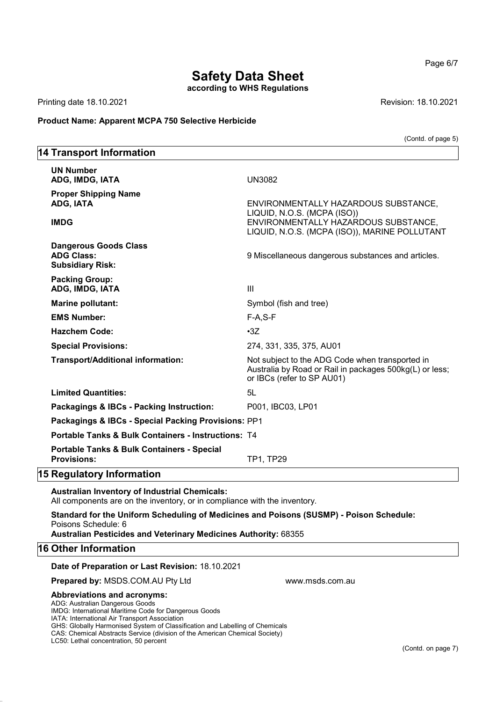according to WHS Regulations

Printing date 18.10.2021 Revision: 18.10.2021

14 Transport Information

#### Product Name: Apparent MCPA 750 Selective Herbicide

(Contd. of page 5)

### UN Number ADG, IMDG, IATA UN3082 Proper Shipping Name ADG, IATA ENVIRONMENTALLY HAZARDOUS SUBSTANCE, LIQUID, N.O.S. (MCPA (ISO)) IMDG ENVIRONMENTALLY HAZARDOUS SUBSTANCE, LIQUID, N.O.S. (MCPA (ISO)), MARINE POLLUTANT Dangerous Goods Class ADG Class: **ADG Class:** 9 Miscellaneous dangerous substances and articles. Subsidiary Risk: Packing Group: ADG, IMDG, IATA III Marine pollutant: Symbol (fish and tree) EMS Number: F-A,S-F Hazchem Code: •3Z Special Provisions: 274, 331, 335, 375, AU01 Transport/Additional information: Not subject to the ADG Code when transported in Australia by Road or Rail in packages 500kg(L) or less; or IBCs (refer to SP AU01) Limited Quantities: 5L Packagings & IBCs - Packing Instruction: P001, IBC03, LP01 Packagings & IBCs - Special Packing Provisions: PP1 Portable Tanks & Bulk Containers - Instructions: T4 Portable Tanks & Bulk Containers - Special Provisions: TP1, TP29 15 Regulatory Information Australian Inventory of Industrial Chemicals: All components are on the inventory, or in compliance with the inventory. Standard for the Uniform Scheduling of Medicines and Poisons (SUSMP) - Poison Schedule: Poisons Schedule: 6 Australian Pesticides and Veterinary Medicines Authority: 68355 16 Other Information

#### Date of Preparation or Last Revision: 18.10.2021

**Prepared by: MSDS.COM.AU Pty Ltd www.msds.com.au** 

#### Abbreviations and acronyms:

ADG: Australian Dangerous Goods

IMDG: International Maritime Code for Dangerous Goods

IATA: International Air Transport Association

GHS: Globally Harmonised System of Classification and Labelling of Chemicals

CAS: Chemical Abstracts Service (division of the American Chemical Society)

Page 6/7